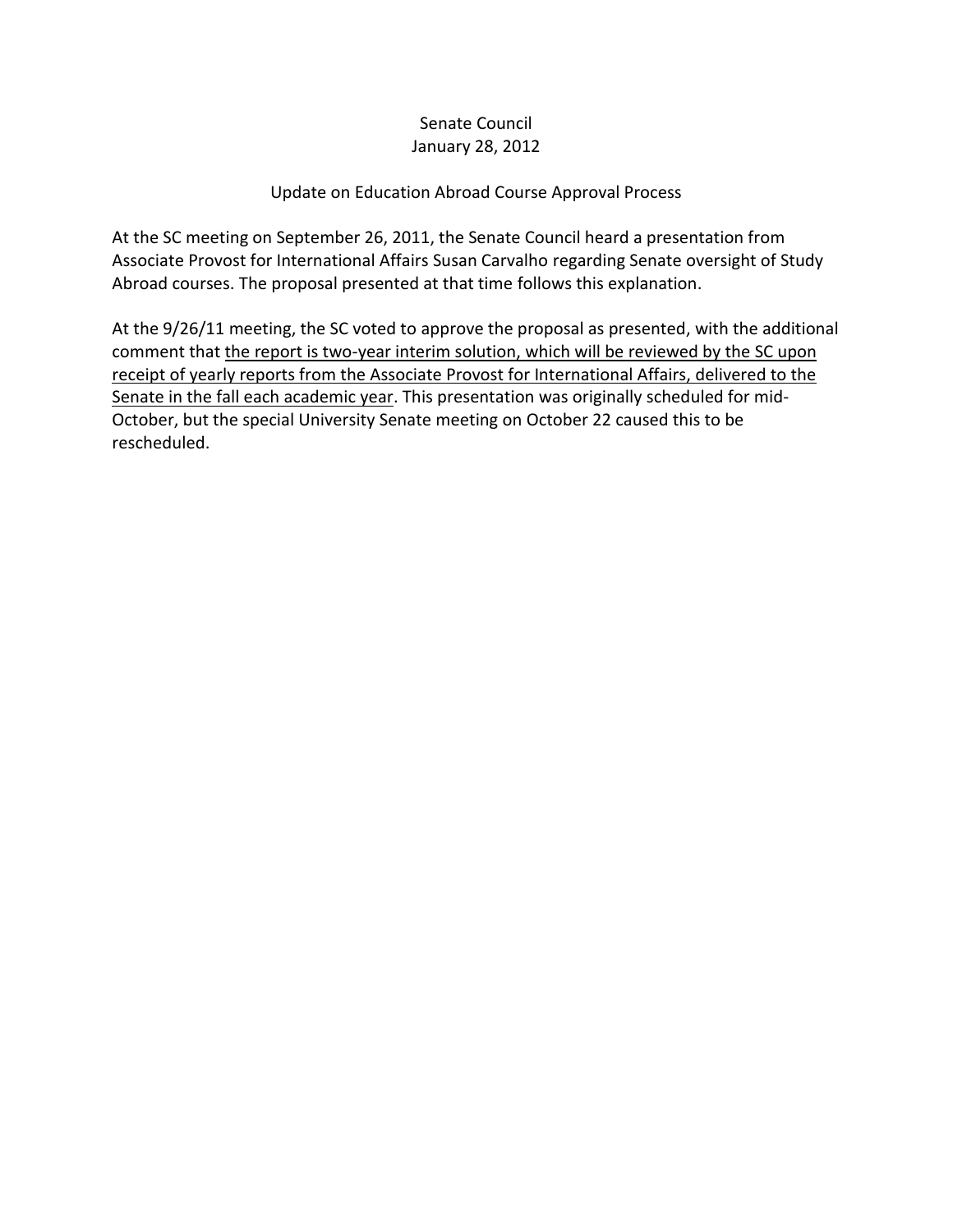## Senate Council January 28, 2012

## Update on Education Abroad Course Approval Process

At the SC meeting on September 26, 2011, the Senate Council heard a presentation from Associate Provost for International Affairs Susan Carvalho regarding Senate oversight of Study Abroad courses. The proposal presented at that time follows this explanation.

At the 9/26/11 meeting, the SC voted to approve the proposal as presented, with the additional comment that the report is two-year interim solution, which will be reviewed by the SC upon receipt of yearly reports from the Associate Provost for International Affairs, delivered to the Senate in the fall each academic year. This presentation was originally scheduled for mid-October, but the special University Senate meeting on October 22 caused this to be rescheduled.